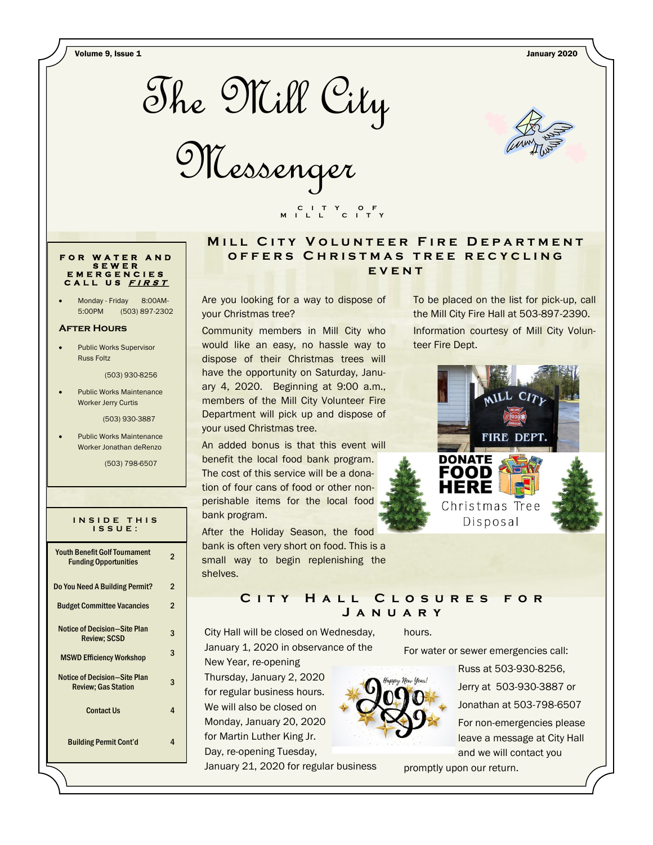Volume 9, Issue 1 January 2020



Messenger



#### **F O R W A T E R A N D S E W E R E M E R G E N C I E S C A L L U S <sup>F</sup> <sup>I</sup> <sup>R</sup> <sup>S</sup> <sup>T</sup>**

Monday - Friday 8:00AM-5:00PM (503) 897-2302

#### **After Hours**

 Public Works Supervisor Russ Foltz

(503) 930-8256

 Public Works Maintenance Worker Jerry Curtis

(503) 930-3887

 Public Works Maintenance Worker Jonathan deRenzo

(503) 798-6507

| INSIDE THIS<br>$IS$ SUE :                                            |                |
|----------------------------------------------------------------------|----------------|
| <b>Youth Benefit Golf Tournament</b><br><b>Funding Opportunities</b> | 2              |
| Do You Need A Building Permit?                                       | 2              |
| <b>Budget Committee Vacancies</b>                                    | $\overline{2}$ |
| <b>Notice of Decision-Site Plan</b><br><b>Review: SCSD</b>           | 3              |
| <b>MSWD Efficiency Workshop</b>                                      | 3              |
| Notice of Decision City Plan                                         |                |

# Notice of Decision—Site Plan ce of Decision—Site Plan<br>Review; Gas Station 3 Contact Us 4

Building Permit Cont'd 4

# **MILL CITY VOLUNTEER FIRE DEPARTMENT OFFERS CHRISTMAS TREE RECYCLING e v e n t**

Are you looking for a way to dispose of your Christmas tree?

 **C I T Y O F M I L L C I T Y**

Community members in Mill City who would like an easy, no hassle way to dispose of their Christmas trees will have the opportunity on Saturday, January 4, 2020. Beginning at 9:00 a.m., members of the Mill City Volunteer Fire Department will pick up and dispose of your used Christmas tree.

An added bonus is that this event will benefit the local food bank program. The cost of this service will be a donation of four cans of food or other nonperishable items for the local food bank program.

After the Holiday Season, the food bank is often very short on food. This is a small way to begin replenishing the shelves.

To be placed on the list for pick-up, call the Mill City Fire Hall at 503-897-2390.

Information courtesy of Mill City Volunteer Fire Dept.



# C I T Y H A L L C L O S U R E S F O R **J a n u a r y**

City Hall will be closed on Wednesday, January 1, 2020 in observance of the

New Year, re-opening Thursday, January 2, 2020 for regular business hours. We will also be closed on Monday, January 20, 2020 for Martin Luther King Jr. Day, re-opening Tuesday,

January 21, 2020 for regular business

hours.

For water or sewer emergencies call:

Russ at 503-930-8256, Jerry at 503-930-3887 or Jonathan at 503-798-6507

For non-emergencies please leave a message at City Hall and we will contact you

promptly upon our return.

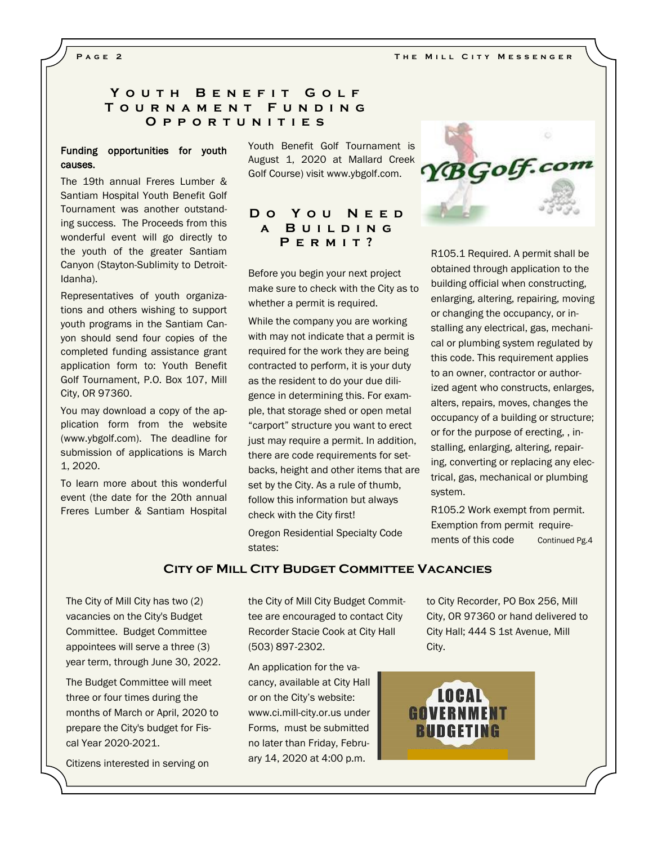#### YOUTH BENEFIT GOLF **T o u r n a m e n t F u n d i n g O p p o r t u n i t i e s**

#### Funding opportunities for youth causes.

The 19th annual Freres Lumber & Santiam Hospital Youth Benefit Golf Tournament was another outstanding success. The Proceeds from this wonderful event will go directly to the youth of the greater Santiam Canyon (Stayton-Sublimity to Detroit-Idanha).

Representatives of youth organizations and others wishing to support youth programs in the Santiam Canyon should send four copies of the completed funding assistance grant application form to: Youth Benefit Golf Tournament, P.O. Box 107, Mill City, OR 97360.

You may download a copy of the application form from the website (www.ybgolf.com). The deadline for submission of applications is March 1, 2020.

To learn more about this wonderful event (the date for the 20th annual Freres Lumber & Santiam Hospital Youth Benefit Golf Tournament is August 1, 2020 at Mallard Creek Golf Course) visit www.ybgolf.com.

### **D o Y o u N e e d a B u i l d i n g P e r m i t ?**

Before you begin your next project make sure to check with the City as to whether a permit is required.

While the company you are working with may not indicate that a permit is required for the work they are being contracted to perform, it is your duty as the resident to do your due diligence in determining this. For example, that storage shed or open metal "carport" structure you want to erect just may require a permit. In addition, there are code requirements for setbacks, height and other items that are set by the City. As a rule of thumb, follow this information but always check with the City first!

Oregon Residential Specialty Code states:



R105.1 Required. A permit shall be obtained through application to the building official when constructing, enlarging, altering, repairing, moving or changing the occupancy, or installing any electrical, gas, mechanical or plumbing system regulated by this code. This requirement applies to an owner, contractor or authorized agent who constructs, enlarges, alters, repairs, moves, changes the occupancy of a building or structure; or for the purpose of erecting, , installing, enlarging, altering, repairing, converting or replacing any electrical, gas, mechanical or plumbing system.

R105.2 Work exempt from permit. Exemption from permit requirements of this code Continued Pg.4

#### **City of Mill City Budget Committee Vacancies**

The City of Mill City has two (2) vacancies on the City's Budget Committee. Budget Committee appointees will serve a three (3) year term, through June 30, 2022.

The Budget Committee will meet three or four times during the months of March or April, 2020 to prepare the City's budget for Fiscal Year 2020-2021.

Citizens interested in serving on

the City of Mill City Budget Committee are encouraged to contact City Recorder Stacie Cook at City Hall (503) 897-2302.

An application for the vacancy, available at City Hall or on the City's website: www.ci.mill-city.or.us under Forms, must be submitted no later than Friday, February 14, 2020 at 4:00 p.m.

to City Recorder, PO Box 256, Mill City, OR 97360 or hand delivered to City Hall; 444 S 1st Avenue, Mill City.

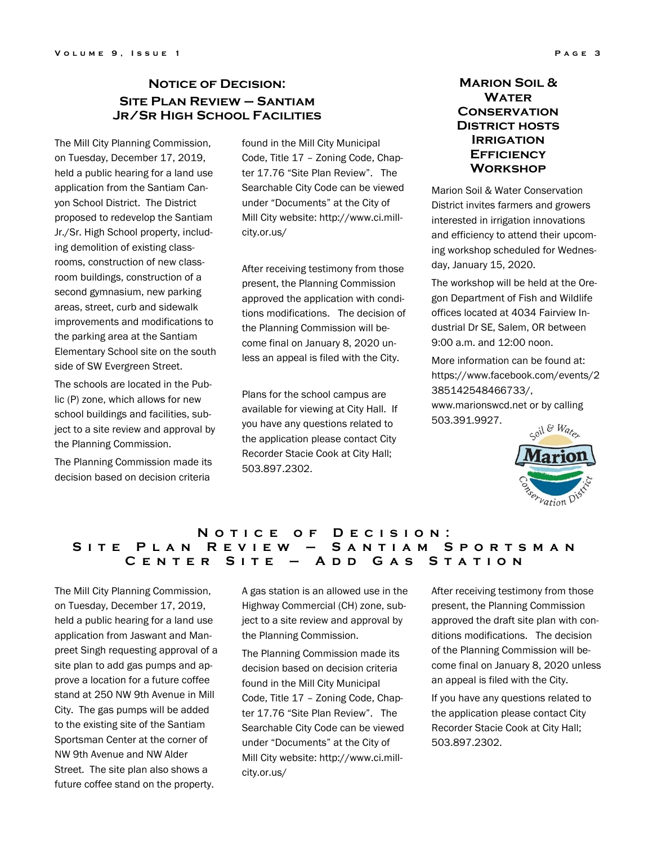# **Notice of Decision: Site Plan Review – Santiam Jr/Sr High School Facilities**

The Mill City Planning Commission, on Tuesday, December 17, 2019, held a public hearing for a land use application from the Santiam Canyon School District. The District proposed to redevelop the Santiam Jr./Sr. High School property, including demolition of existing classrooms, construction of new classroom buildings, construction of a second gymnasium, new parking areas, street, curb and sidewalk improvements and modifications to the parking area at the Santiam Elementary School site on the south side of SW Evergreen Street.

The schools are located in the Public (P) zone, which allows for new school buildings and facilities, subject to a site review and approval by the Planning Commission.

The Planning Commission made its decision based on decision criteria

found in the Mill City Municipal Code, Title 17 – Zoning Code, Chapter 17.76 "Site Plan Review". The Searchable City Code can be viewed under "Documents" at the City of Mill City website: http://www.ci.millcity.or.us/

After receiving testimony from those present, the Planning Commission approved the application with conditions modifications. The decision of the Planning Commission will become final on January 8, 2020 unless an appeal is filed with the City.

Plans for the school campus are available for viewing at City Hall. If you have any questions related to the application please contact City Recorder Stacie Cook at City Hall; 503.897.2302.

## **Marion Soil & Water Conservation District hosts Irrigation Efficiency Workshop**

Marion Soil & Water Conservation District invites farmers and growers interested in irrigation innovations and efficiency to attend their upcoming workshop scheduled for Wednesday, January 15, 2020.

The workshop will be held at the Oregon Department of Fish and Wildlife offices located at 4034 Fairview Industrial Dr SE, Salem, OR between 9:00 a.m. and 12:00 noon.

More information can be found at: https://www.facebook.com/events/2 385142548466733/, www.marionswcd.net or by calling 503.391.9927.



### **N o t i c e o f D e c i s i o n : S i t e P l a n R e v i e w – S a n t i a m S p o r t s m a n C e n t e r S i t e – A d d G a s S t a t i o n**

The Mill City Planning Commission, on Tuesday, December 17, 2019, held a public hearing for a land use application from Jaswant and Manpreet Singh requesting approval of a site plan to add gas pumps and approve a location for a future coffee stand at 250 NW 9th Avenue in Mill City. The gas pumps will be added to the existing site of the Santiam Sportsman Center at the corner of NW 9th Avenue and NW Alder Street. The site plan also shows a future coffee stand on the property.

A gas station is an allowed use in the Highway Commercial (CH) zone, subject to a site review and approval by the Planning Commission.

The Planning Commission made its decision based on decision criteria found in the Mill City Municipal Code, Title 17 – Zoning Code, Chapter 17.76 "Site Plan Review". The Searchable City Code can be viewed under "Documents" at the City of Mill City website: http://www.ci.millcity.or.us/

After receiving testimony from those present, the Planning Commission approved the draft site plan with conditions modifications. The decision of the Planning Commission will become final on January 8, 2020 unless an appeal is filed with the City.

If you have any questions related to the application please contact City Recorder Stacie Cook at City Hall; 503.897.2302.